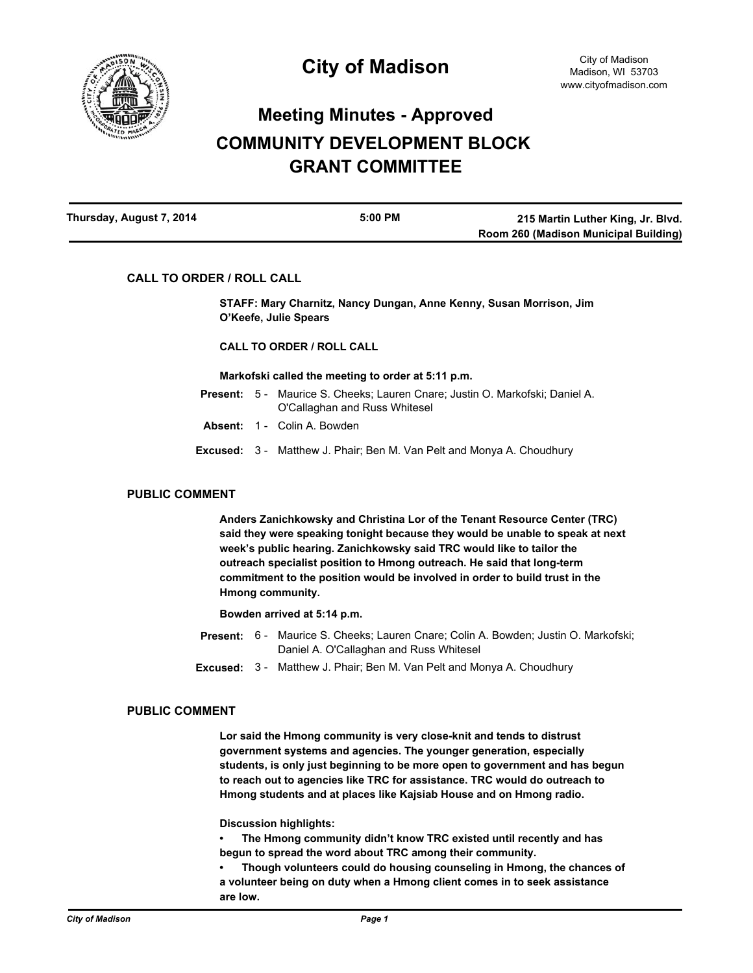

# **Meeting Minutes - Approved COMMUNITY DEVELOPMENT BLOCK GRANT COMMITTEE**

| Thursday, August 7, 2014 | 5:00 PM | 215 Martin Luther King, Jr. Blvd.     |
|--------------------------|---------|---------------------------------------|
|                          |         | Room 260 (Madison Municipal Building) |

# **CALL TO ORDER / ROLL CALL**

**STAFF: Mary Charnitz, Nancy Dungan, Anne Kenny, Susan Morrison, Jim O'Keefe, Julie Spears**

## **CALL TO ORDER / ROLL CALL**

#### **Markofski called the meeting to order at 5:11 p.m.**

- **Present:** 5 Maurice S. Cheeks; Lauren Cnare; Justin O. Markofski; Daniel A. O'Callaghan and Russ Whitesel
- **Absent:** 1 Colin A. Bowden
- **Excused:** 3 Matthew J. Phair; Ben M. Van Pelt and Monya A. Choudhury

# **PUBLIC COMMENT**

**Anders Zanichkowsky and Christina Lor of the Tenant Resource Center (TRC) said they were speaking tonight because they would be unable to speak at next week's public hearing. Zanichkowsky said TRC would like to tailor the outreach specialist position to Hmong outreach. He said that long-term commitment to the position would be involved in order to build trust in the Hmong community.**

#### **Bowden arrived at 5:14 p.m.**

- Present: 6 Maurice S. Cheeks; Lauren Cnare; Colin A. Bowden; Justin O. Markofski; Daniel A. O'Callaghan and Russ Whitesel
- **Excused:** 3 Matthew J. Phair; Ben M. Van Pelt and Monya A. Choudhury

## **PUBLIC COMMENT**

**Lor said the Hmong community is very close-knit and tends to distrust government systems and agencies. The younger generation, especially students, is only just beginning to be more open to government and has begun to reach out to agencies like TRC for assistance. TRC would do outreach to Hmong students and at places like Kajsiab House and on Hmong radio.**

**Discussion highlights:**

**• The Hmong community didn't know TRC existed until recently and has begun to spread the word about TRC among their community.**

**• Though volunteers could do housing counseling in Hmong, the chances of a volunteer being on duty when a Hmong client comes in to seek assistance are low.**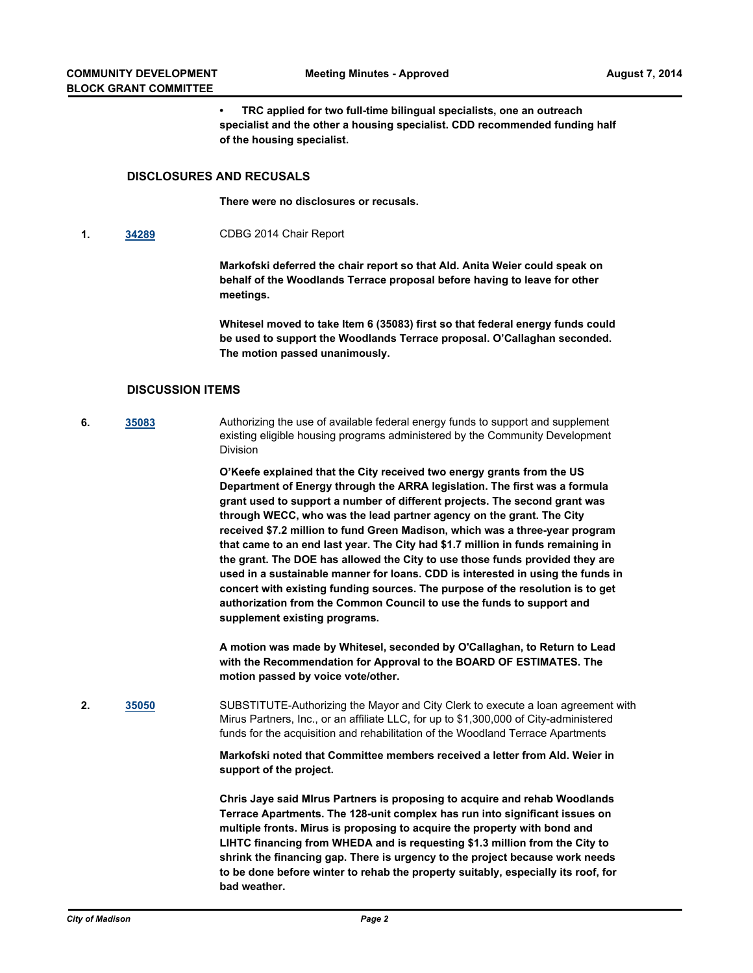**• TRC applied for two full-time bilingual specialists, one an outreach specialist and the other a housing specialist. CDD recommended funding half of the housing specialist.**

# **DISCLOSURES AND RECUSALS**

**There were no disclosures or recusals.**

**1. [34289](http://madison.legistar.com/gateway.aspx?m=l&id=/matter.aspx?key=37393)** CDBG 2014 Chair Report

**Markofski deferred the chair report so that Ald. Anita Weier could speak on behalf of the Woodlands Terrace proposal before having to leave for other meetings.**

**Whitesel moved to take Item 6 (35083) first so that federal energy funds could be used to support the Woodlands Terrace proposal. O'Callaghan seconded. The motion passed unanimously.**

### **DISCUSSION ITEMS**

**6. [35083](http://madison.legistar.com/gateway.aspx?m=l&id=/matter.aspx?key=38174)** Authorizing the use of available federal energy funds to support and supplement existing eligible housing programs administered by the Community Development Division

> **O'Keefe explained that the City received two energy grants from the US Department of Energy through the ARRA legislation. The first was a formula grant used to support a number of different projects. The second grant was through WECC, who was the lead partner agency on the grant. The City received \$7.2 million to fund Green Madison, which was a three-year program that came to an end last year. The City had \$1.7 million in funds remaining in the grant. The DOE has allowed the City to use those funds provided they are used in a sustainable manner for loans. CDD is interested in using the funds in concert with existing funding sources. The purpose of the resolution is to get authorization from the Common Council to use the funds to support and supplement existing programs.**

**A motion was made by Whitesel, seconded by O'Callaghan, to Return to Lead with the Recommendation for Approval to the BOARD OF ESTIMATES. The motion passed by voice vote/other.**

**2. [35050](http://madison.legistar.com/gateway.aspx?m=l&id=/matter.aspx?key=38141)** SUBSTITUTE-Authorizing the Mayor and City Clerk to execute a loan agreement with Mirus Partners, Inc., or an affiliate LLC, for up to \$1,300,000 of City-administered funds for the acquisition and rehabilitation of the Woodland Terrace Apartments

> **Markofski noted that Committee members received a letter from Ald. Weier in support of the project.**

> **Chris Jaye said MIrus Partners is proposing to acquire and rehab Woodlands Terrace Apartments. The 128-unit complex has run into significant issues on multiple fronts. Mirus is proposing to acquire the property with bond and LIHTC financing from WHEDA and is requesting \$1.3 million from the City to shrink the financing gap. There is urgency to the project because work needs to be done before winter to rehab the property suitably, especially its roof, for bad weather.**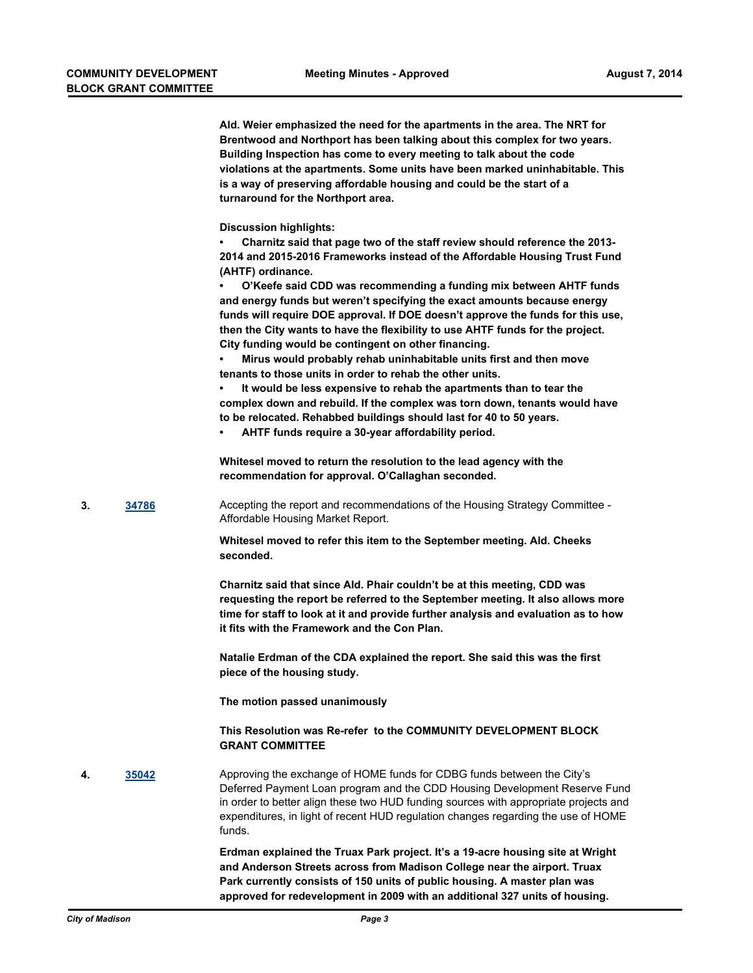**Ald. Weier emphasized the need for the apartments in the area. The NRT for Brentwood and Northport has been talking about this complex for two years. Building Inspection has come to every meeting to talk about the code violations at the apartments. Some units have been marked uninhabitable. This is a way of preserving affordable housing and could be the start of a turnaround for the Northport area. Discussion highlights: • Charnitz said that page two of the staff review should reference the 2013-**

**2014 and 2015-2016 Frameworks instead of the Affordable Housing Trust Fund (AHTF) ordinance.**

**• O'Keefe said CDD was recommending a funding mix between AHTF funds and energy funds but weren't specifying the exact amounts because energy funds will require DOE approval. If DOE doesn't approve the funds for this use, then the City wants to have the flexibility to use AHTF funds for the project. City funding would be contingent on other financing.**

**• Mirus would probably rehab uninhabitable units first and then move tenants to those units in order to rehab the other units.**

**• It would be less expensive to rehab the apartments than to tear the complex down and rebuild. If the complex was torn down, tenants would have to be relocated. Rehabbed buildings should last for 40 to 50 years.**

**• AHTF funds require a 30-year affordability period.**

**Whitesel moved to return the resolution to the lead agency with the recommendation for approval. O'Callaghan seconded.**

**3. [34786](http://madison.legistar.com/gateway.aspx?m=l&id=/matter.aspx?key=37885)** Accepting the report and recommendations of the Housing Strategy Committee - Affordable Housing Market Report.

> **Whitesel moved to refer this item to the September meeting. Ald. Cheeks seconded.**

**Charnitz said that since Ald. Phair couldn't be at this meeting, CDD was requesting the report be referred to the September meeting. It also allows more time for staff to look at it and provide further analysis and evaluation as to how it fits with the Framework and the Con Plan.**

**Natalie Erdman of the CDA explained the report. She said this was the first piece of the housing study.**

**The motion passed unanimously**

**This Resolution was Re-refer to the COMMUNITY DEVELOPMENT BLOCK GRANT COMMITTEE**

**4. [35042](http://madison.legistar.com/gateway.aspx?m=l&id=/matter.aspx?key=38133)** Approving the exchange of HOME funds for CDBG funds between the City's Deferred Payment Loan program and the CDD Housing Development Reserve Fund in order to better align these two HUD funding sources with appropriate projects and expenditures, in light of recent HUD regulation changes regarding the use of HOME funds.

> **Erdman explained the Truax Park project. It's a 19-acre housing site at Wright and Anderson Streets across from Madison College near the airport. Truax Park currently consists of 150 units of public housing. A master plan was approved for redevelopment in 2009 with an additional 327 units of housing.**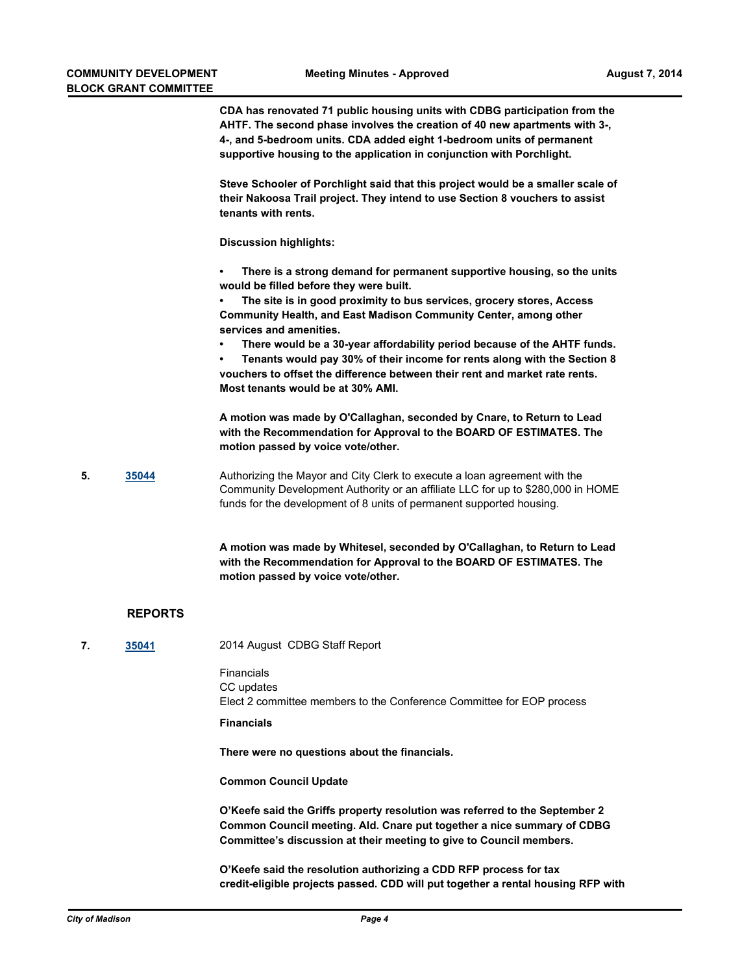**CDA has renovated 71 public housing units with CDBG participation from the AHTF. The second phase involves the creation of 40 new apartments with 3-, 4-, and 5-bedroom units. CDA added eight 1-bedroom units of permanent supportive housing to the application in conjunction with Porchlight.**

**Steve Schooler of Porchlight said that this project would be a smaller scale of their Nakoosa Trail project. They intend to use Section 8 vouchers to assist tenants with rents.**

**Discussion highlights:**

**• There is a strong demand for permanent supportive housing, so the units would be filled before they were built.**

**• The site is in good proximity to bus services, grocery stores, Access Community Health, and East Madison Community Center, among other services and amenities.**

**• There would be a 30-year affordability period because of the AHTF funds.**

**• Tenants would pay 30% of their income for rents along with the Section 8 vouchers to offset the difference between their rent and market rate rents. Most tenants would be at 30% AMI.**

**A motion was made by O'Callaghan, seconded by Cnare, to Return to Lead with the Recommendation for Approval to the BOARD OF ESTIMATES. The motion passed by voice vote/other.**

**5. [35044](http://madison.legistar.com/gateway.aspx?m=l&id=/matter.aspx?key=38135)** Authorizing the Mayor and City Clerk to execute a loan agreement with the Community Development Authority or an affiliate LLC for up to \$280,000 in HOME funds for the development of 8 units of permanent supported housing.

> **A motion was made by Whitesel, seconded by O'Callaghan, to Return to Lead with the Recommendation for Approval to the BOARD OF ESTIMATES. The motion passed by voice vote/other.**

## **REPORTS**

**7. [35041](http://madison.legistar.com/gateway.aspx?m=l&id=/matter.aspx?key=38132)** 2014 August CDBG Staff Report

Financials CC updates Elect 2 committee members to the Conference Committee for EOP process

**Financials** 

**There were no questions about the financials.**

**Common Council Update**

**O'Keefe said the Griffs property resolution was referred to the September 2 Common Council meeting. Ald. Cnare put together a nice summary of CDBG Committee's discussion at their meeting to give to Council members.**

**O'Keefe said the resolution authorizing a CDD RFP process for tax credit-eligible projects passed. CDD will put together a rental housing RFP with**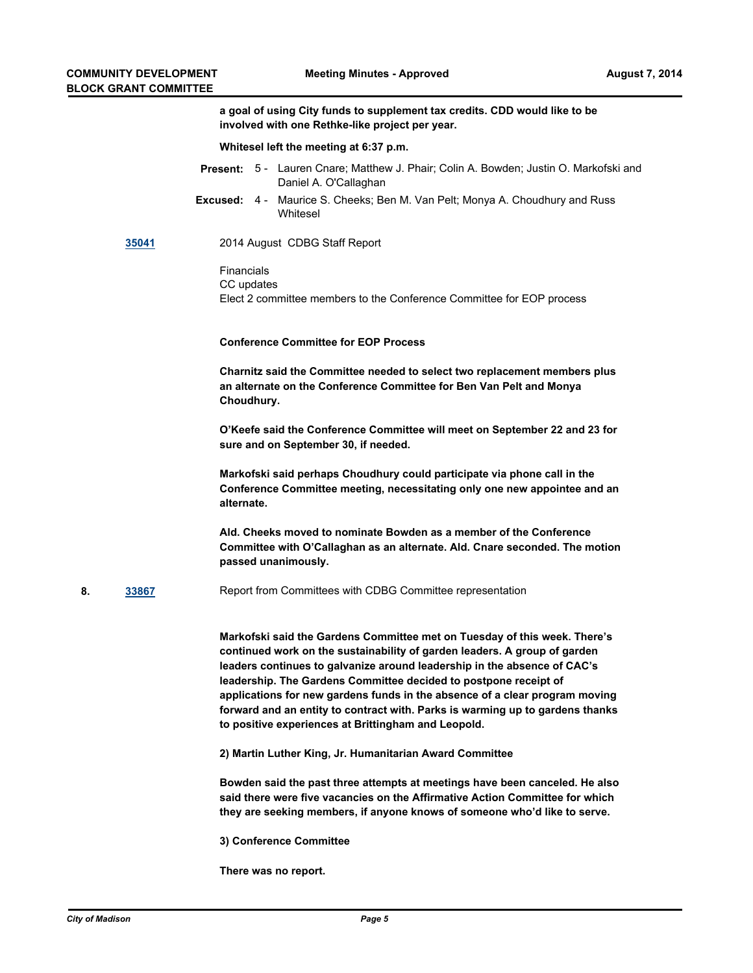**a goal of using City funds to supplement tax credits. CDD would like to be involved with one Rethke-like project per year.**

**Whitesel left the meeting at 6:37 p.m.**

- Present: 5 Lauren Cnare; Matthew J. Phair; Colin A. Bowden; Justin O. Markofski and Daniel A. O'Callaghan
- **Excused:** 4 Maurice S. Cheeks; Ben M. Van Pelt; Monya A. Choudhury and Russ Whitesel

#### **[35041](http://madison.legistar.com/gateway.aspx?m=l&id=/matter.aspx?key=38132)** 2014 August CDBG Staff Report

Financials CC updates Elect 2 committee members to the Conference Committee for EOP process

#### **Conference Committee for EOP Process**

**Charnitz said the Committee needed to select two replacement members plus an alternate on the Conference Committee for Ben Van Pelt and Monya Choudhury.**

**O'Keefe said the Conference Committee will meet on September 22 and 23 for sure and on September 30, if needed.**

**Markofski said perhaps Choudhury could participate via phone call in the Conference Committee meeting, necessitating only one new appointee and an alternate.**

**Ald. Cheeks moved to nominate Bowden as a member of the Conference Committee with O'Callaghan as an alternate. Ald. Cnare seconded. The motion passed unanimously.**

**8. [33867](http://madison.legistar.com/gateway.aspx?m=l&id=/matter.aspx?key=36962)** Report from Committees with CDBG Committee representation

**Markofski said the Gardens Committee met on Tuesday of this week. There's continued work on the sustainability of garden leaders. A group of garden leaders continues to galvanize around leadership in the absence of CAC's leadership. The Gardens Committee decided to postpone receipt of applications for new gardens funds in the absence of a clear program moving forward and an entity to contract with. Parks is warming up to gardens thanks to positive experiences at Brittingham and Leopold.**

**2) Martin Luther King, Jr. Humanitarian Award Committee**

**Bowden said the past three attempts at meetings have been canceled. He also said there were five vacancies on the Affirmative Action Committee for which they are seeking members, if anyone knows of someone who'd like to serve.**

**3) Conference Committee**

**There was no report.**